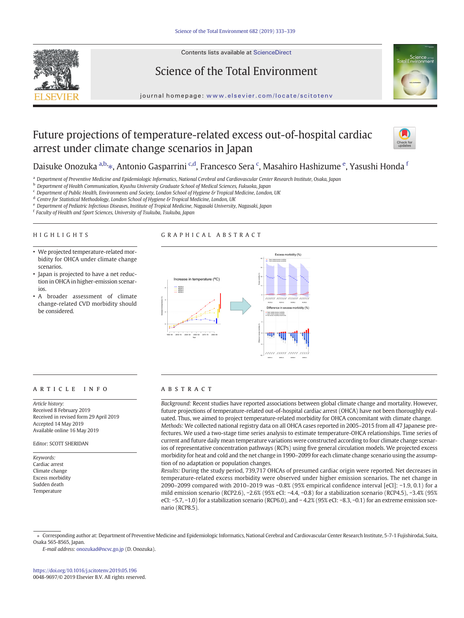

Contents lists available at ScienceDirect

# Science of the Total Environment



journal homepage: <www.elsevier.com/locate/scitotenv>

# Future projections of temperature-related excess out-of-hospital cardiac arrest under climate change scenarios in Japan



Daisuke Onozuka <sup>a,b,</sup> $\ast$ , Antonio Gasparrini <sup>c,d</sup>, Francesco Sera <sup>c</sup>, Masahiro Hashizume <sup>e</sup>, Yasushi Honda <sup>1</sup>

a Department of Preventive Medicine and Epidemiologic Informatics, National Cerebral and Cardiovascular Center Research Institute, Osaka, Japan

**b** Department of Health Communication, Kyushu University Graduate School of Medical Sciences, Fukuoka, Japan

<sup>c</sup> Department of Public Health, Environments and Society, London School of Hygiene & Tropical Medicine, London, UK

<sup>d</sup> Centre for Statistical Methodology, London School of Hygiene & Tropical Medicine, London, UK

<sup>e</sup> Department of Pediatric Infectious Diseases, Institute of Tropical Medicine, Nagasaki University, Nagasaki, Japan

 $f$  Faculty of Health and Sport Sciences, University of Tsukuba, Tsukuba, Japan

# HIGHLIGHTS

# GRAPHICAL ABSTRACT

- We projected temperature-related morbidity for OHCA under climate change scenarios.
- Japan is projected to have a net reduction in OHCA in higher-emission scenarios.
- A broader assessment of climate change-related CVD morbidity should be considered.



# article info abstract

Article history: Received 8 February 2019 Received in revised form 29 April 2019 Accepted 14 May 2019 Available online 16 May 2019

#### Editor: SCOTT SHERIDAN

Keywords: Cardiac arrest Climate change Excess morbidity Sudden death Temperature

Background: Recent studies have reported associations between global climate change and mortality. However, future projections of temperature-related out-of-hospital cardiac arrest (OHCA) have not been thoroughly evaluated. Thus, we aimed to project temperature-related morbidity for OHCA concomitant with climate change. Methods: We collected national registry data on all OHCA cases reported in 2005–2015 from all 47 Japanese prefectures. We used a two-stage time series analysis to estimate temperature-OHCA relationships. Time series of current and future daily mean temperature variations were constructed according to four climate change scenarios of representative concentration pathways (RCPs) using five general circulation models. We projected excess morbidity for heat and cold and the net change in 1990–2099 for each climate change scenario using the assumption of no adaptation or population changes.

Results: During the study period, 739,717 OHCAs of presumed cardiac origin were reported. Net decreases in temperature-related excess morbidity were observed under higher emission scenarios. The net change in 2090–2099 compared with 2010–2019 was −0.8% (95% empirical confidence interval [eCI]: −1.9, 0.1) for a mild emission scenario (RCP2.6), −2.6% (95% eCI: −4.4, −0.8) for a stabilization scenario (RCP4.5), −3.4% (95% eCI: -5.7, -1.0) for a stabilization scenario (RCP6.0), and -4.2% (95% eCI: -8.3, -0.1) for an extreme emission scenario (RCP8.5).

⁎ Corresponding author at: Department of Preventive Medicine and Epidemiologic Informatics, National Cerebral and Cardiovascular Center Research Institute, 5-7-1 Fujishirodai, Suita, Osaka 565-8565, Japan.

E-mail address: <onozukad@ncvc.go.jp> (D. Onozuka).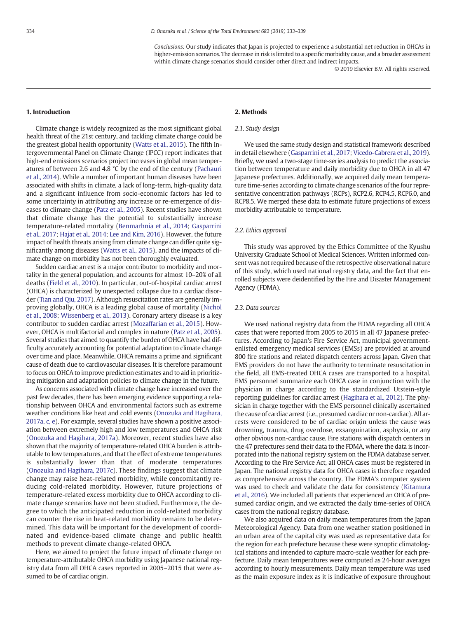Conclusions: Our study indicates that Japan is projected to experience a substantial net reduction in OHCAs in higher-emission scenarios. The decrease in risk is limited to a specific morbidity cause, and a broader assessment within climate change scenarios should consider other direct and indirect impacts.

© 2019 Elsevier B.V. All rights reserved.

#### 1. Introduction

Climate change is widely recognized as the most significant global health threat of the 21st century, and tackling climate change could be the greatest global health opportunity ([Watts et al., 2015](#page-6-0)). The fifth Intergovernmental Panel on Climate Change (IPCC) report indicates that high-end emissions scenarios project increases in global mean temperatures of between 2.6 and 4.8 °C by the end of the century [\(Pachauri](#page-6-0) [et al., 2014\)](#page-6-0). While a number of important human diseases have been associated with shifts in climate, a lack of long-term, high-quality data and a significant influence from socio-economic factors has led to some uncertainty in attributing any increase or re-emergence of diseases to climate change ([Patz et al., 2005](#page-6-0)). Recent studies have shown that climate change has the potential to substantially increase temperature-related mortality [\(Benmarhnia et al., 2014](#page-5-0); [Gasparrini](#page-5-0) [et al., 2017](#page-5-0); [Hajat et al., 2014](#page-5-0); [Lee and Kim, 2016](#page-5-0)). However, the future impact of health threats arising from climate change can differ quite significantly among diseases ([Watts et al., 2015\)](#page-6-0), and the impacts of climate change on morbidity has not been thoroughly evaluated.

Sudden cardiac arrest is a major contributor to morbidity and mortality in the general population, and accounts for almost 10–20% of all deaths ([Field et al., 2010\)](#page-5-0). In particular, out-of-hospital cardiac arrest (OHCA) is characterized by unexpected collapse due to a cardiac disorder ([Tian and Qiu, 2017\)](#page-6-0). Although resuscitation rates are generally improving globally, OHCA is a leading global cause of mortality [\(Nichol](#page-5-0) [et al., 2008](#page-5-0); [Wissenberg et al., 2013](#page-6-0)). Coronary artery disease is a key contributor to sudden cardiac arrest [\(Mozaffarian et al., 2015\)](#page-5-0). However, OHCA is multifactorial and complex in nature ([Patz et al., 2005](#page-6-0)). Several studies that aimed to quantify the burden of OHCA have had difficulty accurately accounting for potential adaptation to climate change over time and place. Meanwhile, OHCA remains a prime and significant cause of death due to cardiovascular diseases. It is therefore paramount to focus on OHCA to improve prediction estimates and to aid in prioritizing mitigation and adaptation policies to climate change in the future.

As concerns associated with climate change have increased over the past few decades, there has been emerging evidence supporting a relationship between OHCA and environmental factors such as extreme weather conditions like heat and cold events [\(Onozuka and Hagihara,](#page-6-0) [2017a, c, e\)](#page-6-0). For example, several studies have shown a positive association between extremely high and low temperatures and OHCA risk [\(Onozuka and Hagihara, 2017a](#page-6-0)). Moreover, recent studies have also shown that the majority of temperature-related OHCA burden is attributable to low temperatures, and that the effect of extreme temperatures is substantially lower than that of moderate temperatures [\(Onozuka and Hagihara, 2017c](#page-6-0)). These findings suggest that climate change may raise heat-related morbidity, while concomitantly reducing cold-related morbidity. However, future projections of temperature-related excess morbidity due to OHCA according to climate change scenarios have not been studied. Furthermore, the degree to which the anticipated reduction in cold-related morbidity can counter the rise in heat-related morbidity remains to be determined. This data will be important for the development of coordinated and evidence-based climate change and public health methods to prevent climate change-related OHCA.

Here, we aimed to project the future impact of climate change on temperature-attributable OHCA morbidity using Japanese national registry data from all OHCA cases reported in 2005–2015 that were assumed to be of cardiac origin.

## 2. Methods

# 2.1. Study design

We used the same study design and statistical framework described in detail elsewhere [\(Gasparrini et al., 2017](#page-5-0); [Vicedo-Cabrera et al., 2019\)](#page-6-0). Briefly, we used a two-stage time-series analysis to predict the association between temperature and daily morbidity due to OHCA in all 47 Japanese prefectures. Additionally, we acquired daily mean temperature time-series according to climate change scenarios of the four representative concentration pathways (RCPs), RCP2.6, RCP4.5, RCP6.0, and RCP8.5. We merged these data to estimate future projections of excess morbidity attributable to temperature.

#### 2.2. Ethics approval

This study was approved by the Ethics Committee of the Kyushu University Graduate School of Medical Sciences. Written informed consent was not required because of the retrospective observational nature of this study, which used national registry data, and the fact that enrolled subjects were deidentified by the Fire and Disaster Management Agency (FDMA).

#### 2.3. Data sources

We used national registry data from the FDMA regarding all OHCA cases that were reported from 2005 to 2015 in all 47 Japanese prefectures. According to Japan's Fire Service Act, municipal governmentenlisted emergency medical services (EMSs) are provided at around 800 fire stations and related dispatch centers across Japan. Given that EMS providers do not have the authority to terminate resuscitation in the field, all EMS-treated OHCA cases are transported to a hospital. EMS personnel summarize each OHCA case in conjunction with the physician in charge according to the standardized Utstein-style reporting guidelines for cardiac arrest [\(Hagihara et al., 2012\)](#page-5-0). The physician in charge together with the EMS personnel clinically ascertained the cause of cardiac arrest (i.e., presumed cardiac or non-cardiac). All arrests were considered to be of cardiac origin unless the cause was drowning, trauma, drug overdose, exsanguination, asphyxia, or any other obvious non-cardiac cause. Fire stations with dispatch centers in the 47 prefectures send their data to the FDMA, where the data is incorporated into the national registry system on the FDMA database server. According to the Fire Service Act, all OHCA cases must be registered in Japan. The national registry data for OHCA cases is therefore regarded as comprehensive across the country. The FDMA's computer system was used to check and validate the data for consistency ([Kitamura](#page-5-0) [et al., 2016\)](#page-5-0). We included all patients that experienced an OHCA of presumed cardiac origin, and we extracted the daily time-series of OHCA cases from the national registry database.

We also acquired data on daily mean temperatures from the Japan Meteorological Agency. Data from one weather station positioned in an urban area of the capital city was used as representative data for the region for each prefecture because these were synoptic climatological stations and intended to capture macro-scale weather for each prefecture. Daily mean temperatures were computed as 24-hour averages according to hourly measurements. Daily mean temperature was used as the main exposure index as it is indicative of exposure throughout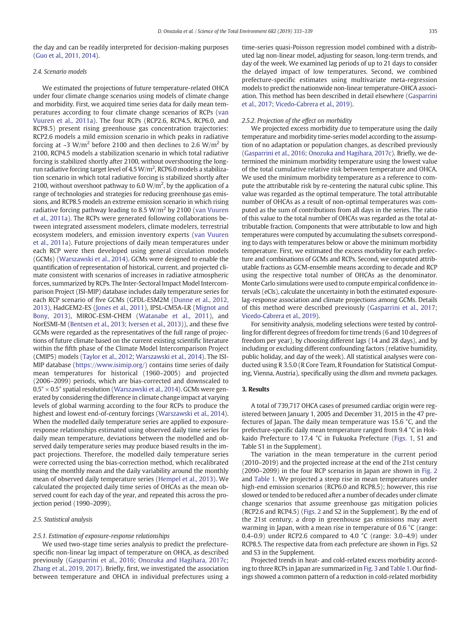the day and can be readily interpreted for decision-making purposes [\(Guo et al., 2011, 2014\)](#page-5-0).

#### 2.4. Scenario models

We estimated the projections of future temperature-related OHCA under four climate change scenarios using models of climate change and morbidity. First, we acquired time series data for daily mean temperatures according to four climate change scenarios of RCPs [\(van](#page-6-0) [Vuuren et al., 2011a\)](#page-6-0). The four RCPs (RCP2.6, RCP4.5, RCP6.0, and RCP8.5) present rising greenhouse gas concentration trajectories: RCP2.6 models a mild emission scenario in which peaks in radiative forcing at  $\sim$ 3 W/m<sup>2</sup> before 2100 and then declines to 2.6 W/m<sup>2</sup> by 2100, RCP4.5 models a stabilization scenario in which total radiative forcing is stabilized shortly after 2100, without overshooting the longrun radiative forcing target level of 4.5 W/m<sup>2</sup>, RCP6.0 models a stabilization scenario in which total radiative forcing is stabilized shortly after 2100, without overshoot pathway to 6.0 W/m<sup>2</sup>, by the application of a range of technologies and strategies for reducing greenhouse gas emissions, and RCP8.5 models an extreme emission scenario in which rising radiative forcing pathway leading to 8.5 W/m<sup>2</sup> by 2100 [\(van Vuuren](#page-6-0) [et al., 2011a\)](#page-6-0). The RCPs were generated following collaborations between integrated assessment modelers, climate modelers, terrestrial ecosystem modelers, and emission inventory experts ([van Vuuren](#page-6-0) [et al., 2011a\)](#page-6-0). Future projections of daily mean temperatures under each RCP were then developed using general circulation models (GCMs) [\(Warszawski et al., 2014](#page-6-0)). GCMs were designed to enable the quantification of representation of historical, current, and projected climate consistent with scenarios of increases in radiative atmospheric forces, summarized by RCPs. The Inter-Sectoral Impact Model Intercomparison Project (ISI-MIP) database includes daily temperature series for each RCP scenario of five GCMs (GFDL-ESM2M [\(Dunne et al., 2012,](#page-5-0) [2013\)](#page-5-0), HadGEM2-ES [\(Jones et al., 2011](#page-5-0)), IPSL-CM5A-LR [\(Mignot and](#page-5-0) [Bony, 2013](#page-5-0)), MIROC-ESM-CHEM [\(Watanabe et al., 2011\)](#page-6-0), and NorESMI-M [\(Bentsen et al., 2013](#page-5-0); [Iversen et al., 2013](#page-5-0))), and these five GCMs were regarded as the representatives of the full range of projections of future climate based on the current existing scientific literature within the fifth phase of the Climate Model Intercomparison Project (CMIP5) models [\(Taylor et al., 2012;](#page-6-0) [Warszawski et al., 2014\)](#page-6-0). The ISI-MIP database ([https://www.isimip.org/\)](https://www.isimip.org/) contains time series of daily mean temperatures for historical (1960–2005) and projected (2006–2099) periods, which are bias-corrected and downscaled to  $0.5^{\circ}$  ×  $0.5^{\circ}$  spatial resolution [\(Warszawski et al., 2014\)](#page-6-0). GCMs were generated by considering the difference in climate change impact at varying levels of global warming according to the four RCPs to produce the highest and lowest end-of-century forcings [\(Warszawski et al., 2014](#page-6-0)). When the modelled daily temperature series are applied to exposureresponse relationships estimated using observed daily time series for daily mean temperature, deviations between the modelled and observed daily temperature series may produce biased results in the impact projections. Therefore, the modelled daily temperature series were corrected using the bias-correction method, which recalibrated using the monthly mean and the daily variability around the monthly mean of observed daily temperature series [\(Hempel et al., 2013\)](#page-5-0). We calculated the projected daily time series of OHCAs as the mean observed count for each day of the year, and repeated this across the projection period (1990–2099).

# 2.5. Statistical analysis

# 2.5.1. Estimation of exposure-response relationships

We used two-stage time series analysis to predict the prefecturespecific non-linear lag impact of temperature on OHCA, as described previously ([Gasparrini et al., 2016;](#page-5-0) [Onozuka and Hagihara, 2017c;](#page-6-0) [Zhang et al., 2019, 2017](#page-6-0)). Briefly, first, we investigated the association between temperature and OHCA in individual prefectures using a time-series quasi-Poisson regression model combined with a distributed lag non-linear model, adjusting for season, long-term trends, and day of the week. We examined lag periods of up to 21 days to consider the delayed impact of low temperatures. Second, we combined prefecture-specific estimates using multivariate meta-regression models to predict the nationwide non-linear temperature-OHCA association. This method has been described in detail elsewhere [\(Gasparrini](#page-5-0) [et al., 2017](#page-5-0); [Vicedo-Cabrera et al., 2019](#page-6-0)).

# 2.5.2. Projection of the effect on morbidity

We projected excess morbidity due to temperature using the daily temperature and morbidity time-series model according to the assumption of no adaptation or population changes, as described previously [\(Gasparrini et al., 2016;](#page-5-0) [Onozuka and Hagihara, 2017c\)](#page-6-0). Briefly, we determined the minimum morbidity temperature using the lowest value of the total cumulative relative risk between temperature and OHCA. We used the minimum morbidity temperature as a reference to compute the attributable risk by re-centering the natural cubic spline. This value was regarded as the optimal temperature. The total attributable number of OHCAs as a result of non-optimal temperatures was computed as the sum of contributions from all days in the series. The ratio of this value to the total number of OHCAs was regarded as the total attributable fraction. Components that were attributable to low and high temperatures were computed by accumulating the subsets corresponding to days with temperatures below or above the minimum morbidity temperature. First, we estimated the excess morbidity for each prefecture and combinations of GCMs and RCPs. Second, we computed attributable fractions as GCM-ensemble means according to decade and RCP using the respective total number of OHCAs as the denominator. Monte Carlo simulations were used to compute empirical confidence intervals (eCIs), calculate the uncertainty in both the estimated exposurelag-response association and climate projections among GCMs. Details of this method were described previously [\(Gasparrini et al., 2017;](#page-5-0) [Vicedo-Cabrera et al., 2019\)](#page-6-0).

For sensitivity analysis, modeling selections were tested by controlling for different degrees of freedom for time trends (6 and 10 degrees of freedom per year), by choosing different lags (14 and 28 days), and by including or excluding different confounding factors (relative humidity, public holiday, and day of the week). All statistical analyses were conducted using R 3.5.0 (R Core Team, R Foundation for Statistical Computing, Vienna, Austria), specifically using the dlnm and mvmeta packages.

# 3. Results

A total of 739,717 OHCA cases of presumed cardiac origin were registered between January 1, 2005 and December 31, 2015 in the 47 prefectures of Japan. The daily mean temperature was 15.6 °C, and the prefecture-specific daily mean temperature ranged from 9.4 °C in Hokkaido Prefecture to 17.4 °C in Fukuoka Prefecture [\(Figs. 1](#page-3-0), S1 and Table S1 in the Supplement).

The variation in the mean temperature in the current period (2010–2019) and the projected increase at the end of the 21st century (2090–2099) in the four RCP scenarios in Japan are shown in [Fig. 2](#page-3-0) and [Table 1.](#page-4-0) We projected a steep rise in mean temperatures under high-end emission scenarios (RCP6.0 and RCP8.5); however, this rise slowed or tended to be reduced after a number of decades under climate change scenarios that assume greenhouse gas mitigation policies (RCP2.6 and RCP4.5) [\(Figs. 2](#page-3-0) and S2 in the Supplement). By the end of the 21st century, a drop in greenhouse gas emissions may avert warming in Japan, with a mean rise in temperature of 0.6 °C (range: 0.4–0.9) under RCP2.6 compared to 4.0  $^{\circ}$ C (range: 3.0–4.9) under RCP8.5. The respective data from each prefecture are shown in Figs. S2 and S3 in the Supplement.

Projected trends in heat- and cold-related excess morbidity according to three RCPs in Japan are summarized in [Fig. 3](#page-4-0) and [Table 1](#page-4-0). Our findings showed a common pattern of a reduction in cold-related morbidity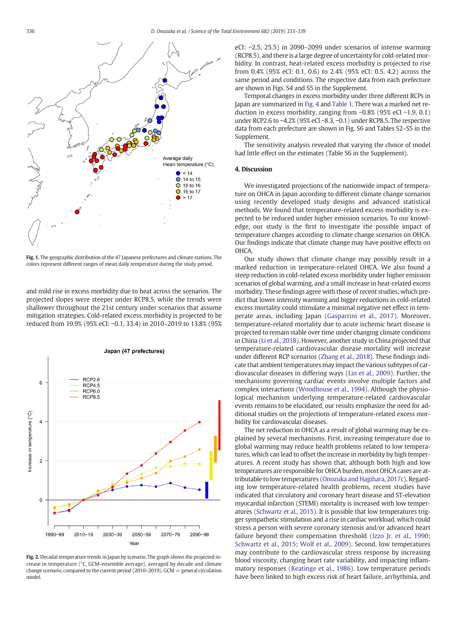<span id="page-3-0"></span>

Fig. 1. The geographic distribution of the 47 Japanese prefectures and climate stations. The colors represent different ranges of mean daily temperature during the study period.

and mild rise in excess morbidity due to heat across the scenarios. The projected slopes were steeper under RCP8.5, while the trends were shallower throughout the 21st century under scenarios that assume mitigation strategies. Cold-related excess morbidity is projected to be reduced from 19.9% (95% eCI: −0.1, 33.4) in 2010–2019 to 13.8% (95%



Fig. 2. Decadal temperature trends in Japan by scenario. The graph shows the projected increase in temperature (°C, GCM-ensemble average), averaged by decade and climate change scenario, compared to the current period (2010–2019). GCM = general circulation model.

eCI: −2.5, 25.5) in 2090–2099 under scenarios of intense warming (RCP8.5), and there is a large degree of uncertainty for cold-related morbidity. In contrast, heat-related excess morbidity is projected to rise from 0.4% (95% eCI: 0.1, 0.6) to 2.4% (95% eCI: 0.5, 4.2) across the same period and conditions. The respective data from each prefecture are shown in Figs. S4 and S5 in the Supplement.

Temporal changes in excess morbidity under three different RCPs in Japan are summarized in [Fig. 4](#page-4-0) and [Table 1](#page-4-0). There was a marked net reduction in excess morbidity, ranging from −0.8% (95% eCI −1.9, 0.1) under RCP2.6 to −4.2% (95% eCI −8.3, −0.1) under RCP8.5. The respective data from each prefecture are shown in Fig. S6 and Tables S2–S5 in the Supplement.

The sensitivity analysis revealed that varying the choice of model had little effect on the estimates (Table S6 in the Supplement).

## 4. Discussion

We investigated projections of the nationwide impact of temperature on OHCA in Japan according to different climate change scenarios using recently developed study designs and advanced statistical methods. We found that temperature-related excess morbidity is expected to be reduced under higher emission scenarios. To our knowledge, our study is the first to investigate the possible impact of temperature changes according to climate change scenarios on OHCA. Our findings indicate that climate change may have positive effects on OHCA.

Our study shows that climate change may possibly result in a marked reduction in temperature-related OHCA. We also found a steep reduction in cold-related excess morbidity under higher emission scenarios of global warming, and a small increase in heat-related excess morbidity. These findings agree with those of recent studies, which predict that lower intensity warming and bigger reductions in cold-related excess mortality could stimulate a minimal negative net effect in temperate areas, including Japan [\(Gasparrini et al., 2017\)](#page-5-0). Moreover, temperature-related mortality due to acute ischemic heart disease is projected to remain stable over time under changing climate conditions in China [\(Li et al., 2018](#page-5-0)). However, another study in China projected that temperature-related cardiovascular disease mortality will increase under different RCP scenarios [\(Zhang et al., 2018\)](#page-6-0). These findings indicate that ambient temperatures may impact the various subtypes of cardiovascular diseases in differing ways [\(Lin et al., 2009](#page-5-0)). Further, the mechanisms governing cardiac events involve multiple factors and complex interactions [\(Woodhouse et al., 1994\)](#page-6-0). Although the physiological mechanism underlying temperature-related cardiovascular events remains to be elucidated, our results emphasize the need for additional studies on the projections of temperature-related excess morbidity for cardiovascular diseases.

The net reduction in OHCA as a result of global warming may be explained by several mechanisms. First, increasing temperature due to global warming may reduce health problems related to low temperatures, which can lead to offset the increase in morbidity by high temperatures. A recent study has shown that, although both high and low temperatures are responsible for OHCA burden, most OHCA cases are attributable to low temperatures [\(Onozuka and Hagihara, 2017c](#page-6-0)). Regarding low temperature-related health problems, recent studies have indicated that circulatory and coronary heart disease and ST-elevation myocardial infarction (STEMI) mortality is increased with low temperatures [\(Schwartz et al., 2015\)](#page-6-0). It is possible that low temperatures trigger sympathetic stimulation and a rise in cardiac workload, which could stress a person with severe coronary stenosis and/or advanced heart failure beyond their compensation threshold [\(Izzo Jr. et al., 1990;](#page-5-0) [Schwartz et al., 2015;](#page-6-0) [Wolf et al., 2009](#page-6-0)). Second, low temperatures may contribute to the cardiovascular stress response by increasing blood viscosity, changing heart rate variability, and impacting inflammatory responses ([Keatinge et al., 1986](#page-5-0)). Low temperature periods have been linked to high excess risk of heart failure, arrhythmia, and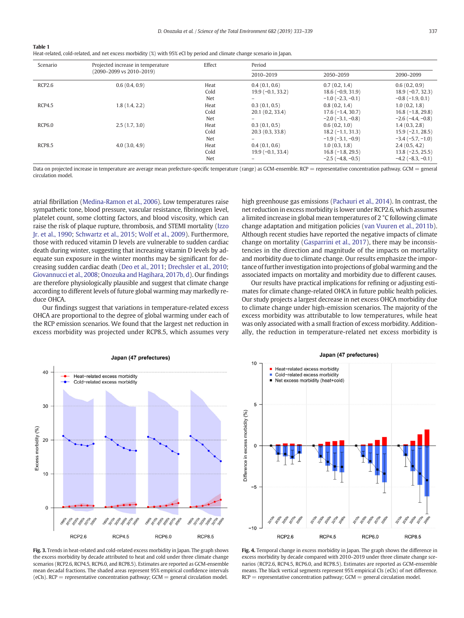<span id="page-4-0"></span>

| . .<br>. . |  |
|------------|--|
|------------|--|

|  |  |  |  | Heat-related, cold-related, and net excess morbidity (%) with 95% eCI by period and climate change scenario in Japan. |
|--|--|--|--|-----------------------------------------------------------------------------------------------------------------------|
|--|--|--|--|-----------------------------------------------------------------------------------------------------------------------|

| Scenario      | Projected increase in temperature<br>(2090-2099 vs 2010-2019) | Effect                     | Period                                     |                                                                                         |                                                                                        |
|---------------|---------------------------------------------------------------|----------------------------|--------------------------------------------|-----------------------------------------------------------------------------------------|----------------------------------------------------------------------------------------|
|               |                                                               |                            | 2010-2019                                  | 2050-2059                                                                               | 2090-2099                                                                              |
| RCP2.6        | 0.6(0.4, 0.9)                                                 | Heat<br>Cold<br>Net        | 0.4(0.1, 0.6)<br>$19.9(-0.1, 33.2)$<br>$-$ | 0.7(0.2, 1.4)<br>$18.6(-0.9, 31.9)$<br>$-1.0$ ( $-2.3$ , $-0.1$ )                       | 0.6(0.2, 0.9)<br>$18.9(-0.7, 32.3)$<br>$-0.8$ ( $-1.9, 0.1$ )                          |
| RCP4.5        | 1.8(1.4, 2.2)                                                 | Heat<br>Cold               | 0.3(0.1, 0.5)<br>20.1(0.2, 33.4)           | 0.8(0.2, 1.4)<br>$17.6(-1.4, 30.7)$                                                     | 1.0(0.2, 1.8)<br>$16.8(-1.8, 29.8)$                                                    |
| RCP6.0        | 2.5(1.7, 3.0)                                                 | Net<br>Heat<br>Cold        | 0.3(0.1, 0.5)<br>20.3(0.3, 33.8)           | $-2.0$ ( $-3.1, -0.8$ )<br>0.6(0.2, 1.0)<br>$18.2(-1.1, 31.3)$                          | $-2.6$ ( $-4.4$ , $-0.8$ )<br>1.4(0.3, 2.8)<br>$15.9(-2.1, 28.5)$                      |
| <b>RCP8.5</b> | 4.0(3.0, 4.9)                                                 | Net<br>Heat<br>Cold<br>Net | 0.4(0.1, 0.6)<br>$19.9(-0.1, 33.4)$        | $-1.9(-3.1, -0.9)$<br>1.0(0.3, 1.8)<br>$16.8(-1.8, 29.5)$<br>$-2.5$ ( $-4.8$ , $-0.5$ ) | $-3.4(-5.7,-1.0)$<br>2.4(0.5, 4.2)<br>$13.8(-2.5, 25.5)$<br>$-4.2$ ( $-8.3$ , $-0.1$ ) |

Data on projected increase in temperature are average mean prefecture-specific temperature (range) as GCM-ensemble. RCP = representative concentration pathway. GCM = general circulation model.

atrial fibrillation [\(Medina-Ramon et al., 2006](#page-5-0)). Low temperatures raise sympathetic tone, blood pressure, vascular resistance, fibrinogen level, platelet count, some clotting factors, and blood viscosity, which can raise the risk of plaque rupture, thrombosis, and STEMI mortality [\(Izzo](#page-5-0) [Jr. et al., 1990](#page-5-0); [Schwartz et al., 2015](#page-6-0); [Wolf et al., 2009\)](#page-6-0). Furthermore, those with reduced vitamin D levels are vulnerable to sudden cardiac death during winter, suggesting that increasing vitamin D levels by adequate sun exposure in the winter months may be significant for decreasing sudden cardiac death ([Deo et al., 2011;](#page-5-0) [Drechsler et al., 2010;](#page-5-0) [Giovannucci et al., 2008](#page-5-0); [Onozuka and Hagihara, 2017b, d](#page-6-0)). Our findings are therefore physiologically plausible and suggest that climate change according to different levels of future global warming may markedly reduce OHCA.

Our findings suggest that variations in temperature-related excess OHCA are proportional to the degree of global warming under each of the RCP emission scenarios. We found that the largest net reduction in excess morbidity was projected under RCP8.5, which assumes very high greenhouse gas emissions ([Pachauri et al., 2014\)](#page-6-0). In contrast, the net reduction in excess morbidity is lower under RCP2.6, which assumes a limited increase in global mean temperatures of 2 °C following climate change adaptation and mitigation policies ([van Vuuren et al., 2011b](#page-6-0)). Although recent studies have reported the negative impacts of climate change on mortality [\(Gasparrini et al., 2017](#page-5-0)), there may be inconsistencies in the direction and magnitude of the impacts on mortality and morbidity due to climate change. Our results emphasize the importance of further investigation into projections of global warming and the associated impacts on mortality and morbidity due to different causes.

Our results have practical implications for refining or adjusting estimates for climate change-related OHCA in future public health policies. Our study projects a largest decrease in net excess OHCA morbidity due to climate change under high-emission scenarios. The majority of the excess morbidity was attributable to low temperatures, while heat was only associated with a small fraction of excess morbidity. Additionally, the reduction in temperature-related net excess morbidity is



Fig. 3. Trends in heat-related and cold-related excess morbidity in Japan. The graph shows the excess morbidity by decade attributed to heat and cold under three climate change scenarios (RCP2.6, RCP4.5, RCP6.0, and RCP8.5). Estimates are reported as GCM-ensemble mean decadal fractions. The shaded areas represent 95% empirical confidence intervals  $(eCIs)$ . RCP = representative concentration pathway: GCM = general circulation model.



Fig. 4. Temporal change in excess morbidity in Japan. The graph shows the difference in excess morbidity by decade compared with 2010–2019 under three climate change scenarios (RCP2.6, RCP4.5, RCP6.0, and RCP8.5). Estimates are reported as GCM-ensemble means. The black vertical segments represent 95% empirical CIs (eCIs) of net difference.  $RCP =$  representative concentration pathway;  $GCM =$  general circulation model.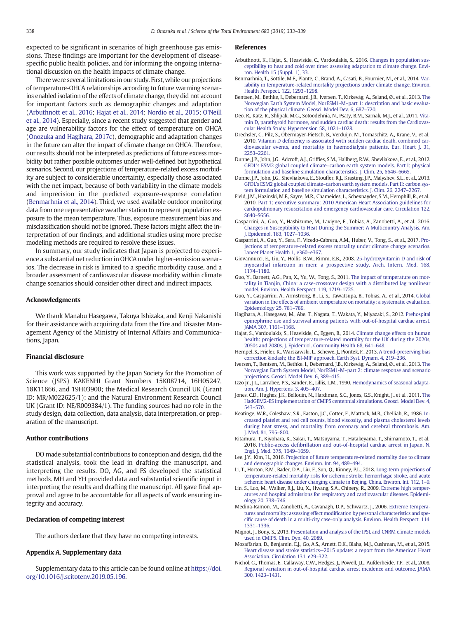<span id="page-5-0"></span>expected to be significant in scenarios of high greenhouse gas emissions. These findings are important for the development of diseasespecific public health policies, and for informing the ongoing international discussion on the health impacts of climate change.

There were several limitations in our study. First, while our projections of temperature-OHCA relationships according to future warming scenarios enabled isolation of the effects of climate change, they did not account for important factors such as demographic changes and adaptation (Arbuthnott et al., 2016; Hajat et al., 2014; [Nordio et al., 2015;](#page-6-0) [O'Neill](#page-6-0) [et al., 2014](#page-6-0)). Especially, since a recent study suggested that gender and age are vulnerability factors for the effect of temperature on OHCA [\(Onozuka and Hagihara, 2017c\)](#page-6-0), demographic and adaptation changes in the future can alter the impact of climate change on OHCA. Therefore, our results should not be interpreted as predictions of future excess morbidity but rather possible outcomes under well-defined but hypothetical scenarios. Second, our projections of temperature-related excess morbidity are subject to considerable uncertainty, especially those associated with the net impact, because of both variability in the climate models and imprecision in the predicted exposure-response correlation (Benmarhnia et al., 2014). Third, we used available outdoor monitoring data from one representative weather station to represent population exposure to the mean temperature. Thus, exposure measurement bias and misclassification should not be ignored. These factors might affect the interpretation of our findings, and additional studies using more precise modeling methods are required to resolve these issues.

In summary, our study indicates that Japan is projected to experience a substantial net reduction in OHCA under higher-emission scenarios. The decrease in risk is limited to a specific morbidity cause, and a broader assessment of cardiovascular disease morbidity within climate change scenarios should consider other direct and indirect impacts.

#### Acknowledgments

We thank Manabu Hasegawa, Takuya Ishizaka, and Kenji Nakanishi for their assistance with acquiring data from the Fire and Disaster Management Agency of the Ministry of Internal Affairs and Communications, Japan.

#### Financial disclosure

This work was supported by the Japan Society for the Promotion of Science (JSPS) KAKENHI Grant Numbers 15K08714, 16H05247, 18K11666, and 19H03900; the Medical Research Council UK (Grant ID: MR/M022625/1); and the Natural Environment Research Council UK (Grant ID: NE/R009384/1). The funding sources had no role in the study design, data collection, data analysis, data interpretation, or preparation of the manuscript.

#### Author contributions

DO made substantial contributions to conception and design, did the statistical analysis, took the lead in drafting the manuscript, and interpreting the results. DO, AG, and FS developed the statistical methods. MH and YH provided data and substantial scientific input in interpreting the results and drafting the manuscript. All gave final approval and agree to be accountable for all aspects of work ensuring integrity and accuracy.

#### Declaration of competing interest

The authors declare that they have no competing interests.

# Appendix A. Supplementary data

Supplementary data to this article can be found online at [https://doi.](https://doi.org/10.1016/j.scitotenv.2019.05.196) [org/10.1016/j.scitotenv.2019.05.196.](https://doi.org/10.1016/j.scitotenv.2019.05.196)

#### References

- Arbuthnott, K., Hajat, S., Heaviside, C., Vardoulakis, S., 2016. [Changes in population sus](http://refhub.elsevier.com/S0048-9697(19)32235-1/rf0005)[ceptibility to heat and cold over time: assessing adaptation to climate change. Envi](http://refhub.elsevier.com/S0048-9697(19)32235-1/rf0005)[ron. Health 15 \(Suppl. 1\), 33](http://refhub.elsevier.com/S0048-9697(19)32235-1/rf0005).
- Benmarhnia, T., Sottile, M.F., Plante, C., Brand, A., Casati, B., Fournier, M., et al., 2014. [Var](http://refhub.elsevier.com/S0048-9697(19)32235-1/rf0010)[iability in temperature-related mortality projections under climate change. Environ.](http://refhub.elsevier.com/S0048-9697(19)32235-1/rf0010) [Health Perspect. 122, 1293](http://refhub.elsevier.com/S0048-9697(19)32235-1/rf0010)–1298.
- Bentsen, M., Bethke, I., Debernard, J.B., Iversen, T., Kirkevåg, A., Seland, Ø., et al., 2013. [The](http://refhub.elsevier.com/S0048-9697(19)32235-1/rf0015) [Norwegian Earth System Model, NorESM1-M](http://refhub.elsevier.com/S0048-9697(19)32235-1/rf0015)–part 1: description and basic evalua[tion of the physical climate. Geosci. Model Dev. 6, 687](http://refhub.elsevier.com/S0048-9697(19)32235-1/rf0015)–720.
- Deo, R., Katz, R., Shlipak, M.G., Sotoodehnia, N., Psaty, B.M., Sarnak, M.J., et al., 2011. [Vita](http://refhub.elsevier.com/S0048-9697(19)32235-1/rf0020)[min D, parathyroid hormone, and sudden cardiac death: results from the Cardiovas](http://refhub.elsevier.com/S0048-9697(19)32235-1/rf0020)[cular Health Study. Hypertension 58, 1021](http://refhub.elsevier.com/S0048-9697(19)32235-1/rf0020)–1028.
- Drechsler, C., Pilz, S., Obermayer-Pietsch, B., Verduijn, M., Tomaschitz, A., Krane, V., et al., 2010. Vitamin D defi[ciency is associated with sudden cardiac death, combined car](http://refhub.elsevier.com/S0048-9697(19)32235-1/rf0025)[diovascular events, and mortality in haemodialysis patients. Eur. Heart J. 31,](http://refhub.elsevier.com/S0048-9697(19)32235-1/rf0025) 2253–[2261.](http://refhub.elsevier.com/S0048-9697(19)32235-1/rf0025)
- Dunne, J.P., John, J.G., Adcroft, A.J., Griffies, S.M., Hallberg, R.W., Shevliakova, E., et al., 2012. GFDL's ESM2 global coupled climate–[carbon earth system models. Part I: physical](http://refhub.elsevier.com/S0048-9697(19)32235-1/rf0030) [formulation and baseline simulation characteristics. J. Clim. 25, 6646](http://refhub.elsevier.com/S0048-9697(19)32235-1/rf0030)–6665.
- Dunne, J.P., John, J.G., Shevliakova, E., Stouffer, R.J., Krasting, J.P., Malyshev, S.L., et al., 2013. GFDL's ESM2 global coupled climate–[carbon earth system models. Part II: carbon sys](http://refhub.elsevier.com/S0048-9697(19)32235-1/rf0035)[tem formulation and baseline simulation characteristics. J. Clim. 26, 2247](http://refhub.elsevier.com/S0048-9697(19)32235-1/rf0035)–2267.
- Field, J.M., Hazinski, M.F., Sayre, M.R., Chameides, L., Schexnayder, S.M., Hemphill, R., et al., 2010. [Part 1: executive summary: 2010 American Heart Association guidelines for](http://refhub.elsevier.com/S0048-9697(19)32235-1/rf0040) [cardiopulmonary resuscitation and emergency cardiovascular care. Circulation 122,](http://refhub.elsevier.com/S0048-9697(19)32235-1/rf0040) S640–[S656.](http://refhub.elsevier.com/S0048-9697(19)32235-1/rf0040)
- Gasparrini, A., Guo, Y., Hashizume, M., Lavigne, E., Tobias, A., Zanobetti, A., et al., 2016. [Changes in Susceptibility to Heat During the Summer: A Multicountry Analysis. Am.](http://refhub.elsevier.com/S0048-9697(19)32235-1/rf0045) [J. Epidemiol. 183, 1027](http://refhub.elsevier.com/S0048-9697(19)32235-1/rf0045)–1036.
- Gasparrini, A., Guo, Y., Sera, F., Vicedo-Cabrera, A.M., Huber, V., Tong, S., et al., 2017. [Pro](http://refhub.elsevier.com/S0048-9697(19)32235-1/rf0050)[jections of temperature-related excess mortality under climate change scenarios.](http://refhub.elsevier.com/S0048-9697(19)32235-1/rf0050) [Lancet Planet Health 1, e360](http://refhub.elsevier.com/S0048-9697(19)32235-1/rf0050)–e367.
- Giovannucci, E., Liu, Y., Hollis, B.W., Rimm, E.B., 2008. [25-hydroxyvitamin D and risk of](http://refhub.elsevier.com/S0048-9697(19)32235-1/rf0055) [myocardial infarction in men: a prospective study. Arch. Intern. Med. 168,](http://refhub.elsevier.com/S0048-9697(19)32235-1/rf0055) 1174–[1180.](http://refhub.elsevier.com/S0048-9697(19)32235-1/rf0055)
- Guo, Y., Barnett, A.G., Pan, X., Yu, W., Tong, S., 2011. [The impact of temperature on mor](http://refhub.elsevier.com/S0048-9697(19)32235-1/rf0060)[tality in Tianjin, China: a case-crossover design with a distributed lag nonlinear](http://refhub.elsevier.com/S0048-9697(19)32235-1/rf0060) [model. Environ. Health Perspect. 119, 1719](http://refhub.elsevier.com/S0048-9697(19)32235-1/rf0060)–1725.
- Guo, Y., Gasparrini, A., Armstrong, B., Li, S., Tawatsupa, B., Tobias, A., et al., 2014. [Global](http://refhub.elsevier.com/S0048-9697(19)32235-1/rf0065) [variation in the effects of ambient temperature on mortality: a systematic evaluation.](http://refhub.elsevier.com/S0048-9697(19)32235-1/rf0065) [Epidemiology 25, 781](http://refhub.elsevier.com/S0048-9697(19)32235-1/rf0065)–789.
- Hagihara, A., Hasegawa, M., Abe, T., Nagata, T., Wakata, Y., Miyazaki, S., 2012. [Prehospital](http://refhub.elsevier.com/S0048-9697(19)32235-1/rf0070) [epinephrine use and survival among patients with out-of-hospital cardiac arrest.](http://refhub.elsevier.com/S0048-9697(19)32235-1/rf0070) [JAMA 307, 1161](http://refhub.elsevier.com/S0048-9697(19)32235-1/rf0070)–1168.
- Hajat, S., Vardoulakis, S., Heaviside, C., Eggen, B., 2014. [Climate change effects on human](http://refhub.elsevier.com/S0048-9697(19)32235-1/rf0075) [health: projections of temperature-related mortality for the UK during the 2020s,](http://refhub.elsevier.com/S0048-9697(19)32235-1/rf0075) [2050s and 2080s. J. Epidemiol. Community Health 68, 641](http://refhub.elsevier.com/S0048-9697(19)32235-1/rf0075)–648.
- Hempel, S., Frieler, K., Warszawski, L., Schewe, J., Piontek, F., 2013. [A trend-preserving bias](http://refhub.elsevier.com/S0048-9697(19)32235-1/rf0080) correction & ndash; the ISI-MIP approach. Earth Syst. Dynam. 4, 219-236
- Iversen, T., Bentsen, M., Bethke, I., Debernard, J.B., Kirkevåg, A., Seland, Ø., et al., 2013. [The](http://refhub.elsevier.com/S0048-9697(19)32235-1/rf0085) [Norwegian Earth System Model, NorESM1-M](http://refhub.elsevier.com/S0048-9697(19)32235-1/rf0085)–part 2: climate response and scenario [projections. Geosci. Model Dev. 6, 389](http://refhub.elsevier.com/S0048-9697(19)32235-1/rf0085)–415.
- Izzo Jr., J.L., Larrabee, P.S., Sander, E., Lillis, L.M., 1990. [Hemodynamics of seasonal adapta](http://refhub.elsevier.com/S0048-9697(19)32235-1/rf0090)[tion. Am. J. Hypertens. 3, 405](http://refhub.elsevier.com/S0048-9697(19)32235-1/rf0090)–407.
- Jones, C.D., Hughes, J.K., Bellouin, N., Hardiman, S.C., Jones, G.S., Knight, J., et al., 2011. [The](http://refhub.elsevier.com/S0048-9697(19)32235-1/rf0095) [HadGEM2-ES implementation of CMIP5 centennial simulations. Geosci. Model Dev. 4,](http://refhub.elsevier.com/S0048-9697(19)32235-1/rf0095) 543–[570.](http://refhub.elsevier.com/S0048-9697(19)32235-1/rf0095)
- Keatinge, W.R., Coleshaw, S.R., Easton, J.C., Cotter, F., Mattock, M.B., Chelliah, R., 1986. [In](http://refhub.elsevier.com/S0048-9697(19)32235-1/rf0100)[creased platelet and red cell counts, blood viscosity, and plasma cholesterol levels](http://refhub.elsevier.com/S0048-9697(19)32235-1/rf0100) [during heat stress, and mortality from coronary and cerebral thrombosis. Am.](http://refhub.elsevier.com/S0048-9697(19)32235-1/rf0100) [J. Med. 81, 795](http://refhub.elsevier.com/S0048-9697(19)32235-1/rf0100)–800.
- Kitamura, T., Kiyohara, K., Sakai, T., Matsuyama, T., Hatakeyama, T., Shimamoto, T., et al., 2016. Public-access defi[brillation and out-of-hospital cardiac arrest in Japan. N.](http://refhub.elsevier.com/S0048-9697(19)32235-1/rf0105) [Engl. J. Med. 375, 1649](http://refhub.elsevier.com/S0048-9697(19)32235-1/rf0105)–1659.
- Lee, J.Y., Kim, H., 2016. [Projection of future temperature-related mortality due to climate](http://refhub.elsevier.com/S0048-9697(19)32235-1/rf0110) [and demographic changes. Environ. Int. 94, 489](http://refhub.elsevier.com/S0048-9697(19)32235-1/rf0110)–494.
- Li, T., Horton, R.M., Bader, D.A., Liu, F., Sun, Q., Kinney, P.L., 2018. [Long-term projections of](http://refhub.elsevier.com/S0048-9697(19)32235-1/rf0115) [temperature-related mortality risks for ischemic stroke, hemorrhagic stroke, and acute](http://refhub.elsevier.com/S0048-9697(19)32235-1/rf0115) [ischemic heart disease under changing climate in Beijing, China. Environ. Int. 112, 1](http://refhub.elsevier.com/S0048-9697(19)32235-1/rf0115)–9.
- Lin, S., Luo, M., Walker, R.J., Liu, X., Hwang, S.A., Chinery, R., 2009. [Extreme high temper](http://refhub.elsevier.com/S0048-9697(19)32235-1/rf0120)[atures and hospital admissions for respiratory and cardiovascular diseases. Epidemi](http://refhub.elsevier.com/S0048-9697(19)32235-1/rf0120)[ology 20, 738](http://refhub.elsevier.com/S0048-9697(19)32235-1/rf0120)–746.
- Medina-Ramon, M., Zanobetti, A., Cavanagh, D.P., Schwartz, J., 2006. [Extreme tempera](http://refhub.elsevier.com/S0048-9697(19)32235-1/rf0125)tures and mortality: assessing effect modifi[cation by personal characteristics and spe](http://refhub.elsevier.com/S0048-9697(19)32235-1/rf0125)cifi[c cause of death in a multi-city case-only analysis. Environ. Health Perspect. 114,](http://refhub.elsevier.com/S0048-9697(19)32235-1/rf0125) 1331–[1336.](http://refhub.elsevier.com/S0048-9697(19)32235-1/rf0125)
- Mignot, J., Bony, S., 2013. [Presentation and analysis of the IPSL and CNRM climate models](http://refhub.elsevier.com/S0048-9697(19)32235-1/rf0130) [used in CMIP5. Clim. Dyn. 40, 2089.](http://refhub.elsevier.com/S0048-9697(19)32235-1/rf0130)
- Mozaffarian, D., Benjamin, E.J., Go, A.S., Arnett, D.K., Blaha, M.J., Cushman, M., et al., 2015. Heart disease and stroke statistics—[2015 update: a report from the American Heart](http://refhub.elsevier.com/S0048-9697(19)32235-1/rf0135) [Association. Circulation 131, e29](http://refhub.elsevier.com/S0048-9697(19)32235-1/rf0135)–322.
- Nichol, G., Thomas, E., Callaway, C.W., Hedges, J., Powell, J.L., Aufderheide, T.P., et al., 2008. [Regional variation in out-of-hospital cardiac arrest incidence and outcome. JAMA](http://refhub.elsevier.com/S0048-9697(19)32235-1/rf0140) [300, 1423](http://refhub.elsevier.com/S0048-9697(19)32235-1/rf0140)–1431.